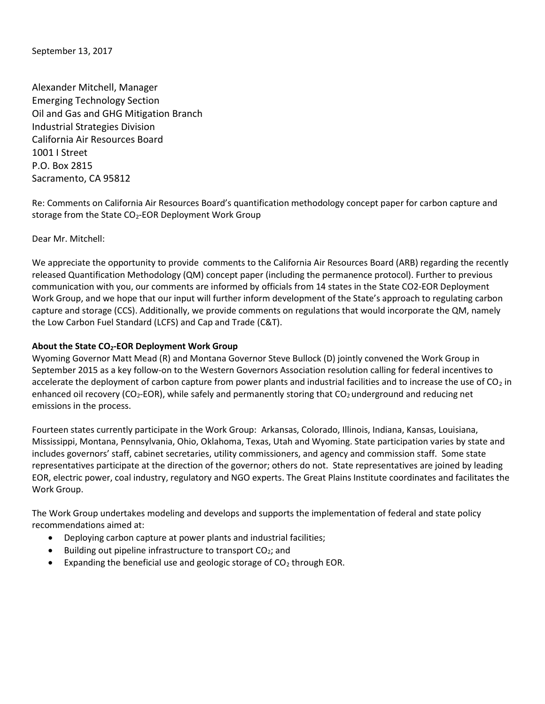September 13, 2017

Alexander Mitchell, Manager Emerging Technology Section Oil and Gas and GHG Mitigation Branch Industrial Strategies Division California Air Resources Board 1001 I Street P.O. Box 2815 Sacramento, CA 95812

Re: Comments on California Air Resources Board's quantification methodology concept paper for carbon capture and storage from the State CO<sub>2</sub>-EOR Deployment Work Group

Dear Mr. Mitchell:

We appreciate the opportunity to provide comments to the California Air Resources Board (ARB) regarding the recently released Quantification Methodology (QM) concept paper (including the permanence protocol). Further to previous communication with you, our comments are informed by officials from 14 states in the State CO2-EOR Deployment Work Group, and we hope that our input will further inform development of the State's approach to regulating carbon capture and storage (CCS). Additionally, we provide comments on regulations that would incorporate the QM, namely the Low Carbon Fuel Standard (LCFS) and Cap and Trade (C&T).

#### About the State CO<sub>2</sub>-EOR Deployment Work Group

Wyoming Governor Matt Mead (R) and Montana Governor Steve Bullock (D) jointly convened the Work Group in September 2015 as a key follow-on to the Western Governors Association resolution calling for federal incentives to accelerate the deployment of carbon capture from power plants and industrial facilities and to increase the use of  $CO<sub>2</sub>$  in enhanced oil recovery (CO<sub>2</sub>-EOR), while safely and permanently storing that  $CO<sub>2</sub>$  underground and reducing net emissions in the process.

Fourteen states currently participate in the Work Group: Arkansas, Colorado, Illinois, Indiana, Kansas, Louisiana, Mississippi, Montana, Pennsylvania, Ohio, Oklahoma, Texas, Utah and Wyoming. State participation varies by state and includes governors' staff, cabinet secretaries, utility commissioners, and agency and commission staff. Some state representatives participate at the direction of the governor; others do not. State representatives are joined by leading EOR, electric power, coal industry, regulatory and NGO experts. The Great Plains Institute coordinates and facilitates the Work Group.

The Work Group undertakes modeling and develops and supports the implementation of federal and state policy recommendations aimed at:

- Deploying carbon capture at power plants and industrial facilities;
- $\bullet$  Building out pipeline infrastructure to transport CO<sub>2</sub>; and
- Expanding the beneficial use and geologic storage of  $CO<sub>2</sub>$  through EOR.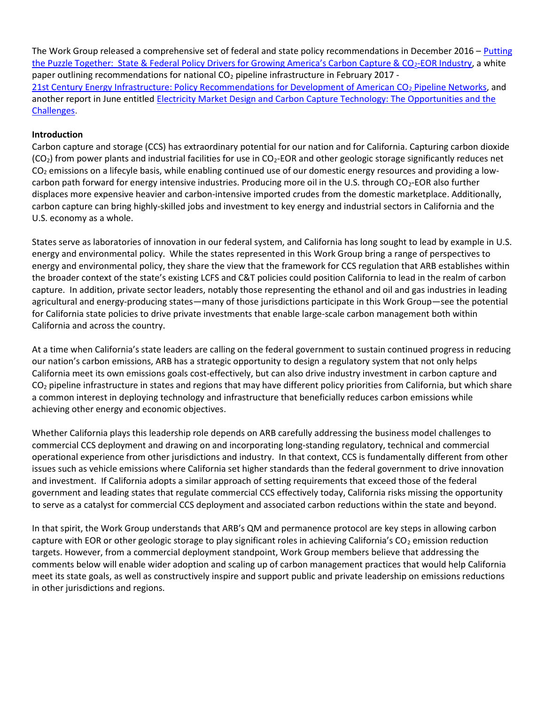The Work Group released a comprehensive set of federal and state policy recommendations in December 2016 – Putting the Puzzle Together: State & Federal Policy Drivers for Growing America's Carbon Capture & CO<sub>2</sub>-EOR Industry, a white paper outlining recommendations for national CO<sub>2</sub> pipeline infrastructure in February 2017 -21st Century Energy Infrastructure: Policy Recommendations for Development of American CO<sub>2</sub> Pipeline Networks, and another report in June entitled Electricity Market Design and Carbon Capture Technology: The Opportunities and the Challenges.

### Introduction

Carbon capture and storage (CCS) has extraordinary potential for our nation and for California. Capturing carbon dioxide  $(CO<sub>2</sub>)$  from power plants and industrial facilities for use in  $CO<sub>2</sub>$ -EOR and other geologic storage significantly reduces net  $CO<sub>2</sub>$  emissions on a lifecyle basis, while enabling continued use of our domestic energy resources and providing a lowcarbon path forward for energy intensive industries. Producing more oil in the U.S. through  $CO<sub>2</sub>$ -EOR also further displaces more expensive heavier and carbon-intensive imported crudes from the domestic marketplace. Additionally, carbon capture can bring highly-skilled jobs and investment to key energy and industrial sectors in California and the U.S. economy as a whole.

States serve as laboratories of innovation in our federal system, and California has long sought to lead by example in U.S. energy and environmental policy. While the states represented in this Work Group bring a range of perspectives to energy and environmental policy, they share the view that the framework for CCS regulation that ARB establishes within the broader context of the state's existing LCFS and C&T policies could position California to lead in the realm of carbon capture. In addition, private sector leaders, notably those representing the ethanol and oil and gas industries in leading agricultural and energy-producing states—many of those jurisdictions participate in this Work Group—see the potential for California state policies to drive private investments that enable large-scale carbon management both within California and across the country.

At a time when California's state leaders are calling on the federal government to sustain continued progress in reducing our nation's carbon emissions, ARB has a strategic opportunity to design a regulatory system that not only helps California meet its own emissions goals cost-effectively, but can also drive industry investment in carbon capture and  $CO<sub>2</sub>$  pipeline infrastructure in states and regions that may have different policy priorities from California, but which share a common interest in deploying technology and infrastructure that beneficially reduces carbon emissions while achieving other energy and economic objectives.

Whether California plays this leadership role depends on ARB carefully addressing the business model challenges to commercial CCS deployment and drawing on and incorporating long-standing regulatory, technical and commercial operational experience from other jurisdictions and industry. In that context, CCS is fundamentally different from other issues such as vehicle emissions where California set higher standards than the federal government to drive innovation and investment. If California adopts a similar approach of setting requirements that exceed those of the federal government and leading states that regulate commercial CCS effectively today, California risks missing the opportunity to serve as a catalyst for commercial CCS deployment and associated carbon reductions within the state and beyond.

In that spirit, the Work Group understands that ARB's QM and permanence protocol are key steps in allowing carbon capture with EOR or other geologic storage to play significant roles in achieving California's CO<sub>2</sub> emission reduction targets. However, from a commercial deployment standpoint, Work Group members believe that addressing the comments below will enable wider adoption and scaling up of carbon management practices that would help California meet its state goals, as well as constructively inspire and support public and private leadership on emissions reductions in other jurisdictions and regions.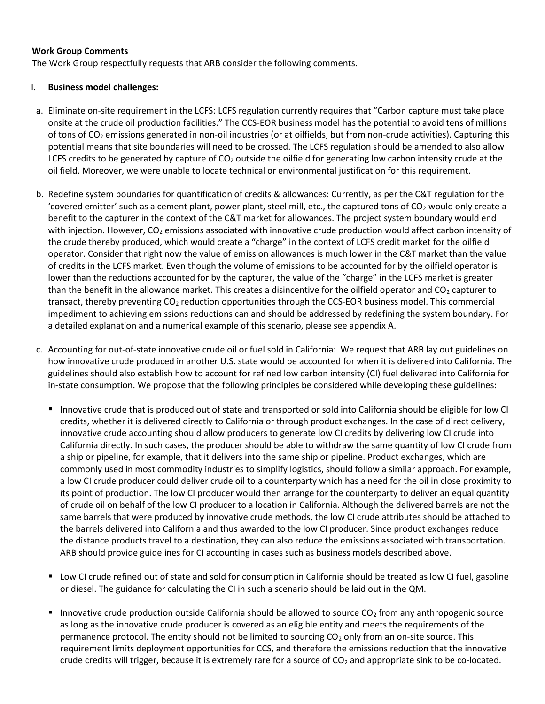#### Work Group Comments

The Work Group respectfully requests that ARB consider the following comments.

### I. Business model challenges:

- a. Eliminate on-site requirement in the LCFS: LCFS regulation currently requires that "Carbon capture must take place onsite at the crude oil production facilities." The CCS-EOR business model has the potential to avoid tens of millions of tons of CO2 emissions generated in non-oil industries (or at oilfields, but from non-crude activities). Capturing this potential means that site boundaries will need to be crossed. The LCFS regulation should be amended to also allow LCFS credits to be generated by capture of  $CO<sub>2</sub>$  outside the oilfield for generating low carbon intensity crude at the oil field. Moreover, we were unable to locate technical or environmental justification for this requirement.
- b. Redefine system boundaries for quantification of credits & allowances: Currently, as per the C&T regulation for the 'covered emitter' such as a cement plant, power plant, steel mill, etc., the captured tons of  $CO<sub>2</sub>$  would only create a benefit to the capturer in the context of the C&T market for allowances. The project system boundary would end with injection. However, CO<sub>2</sub> emissions associated with innovative crude production would affect carbon intensity of the crude thereby produced, which would create a "charge" in the context of LCFS credit market for the oilfield operator. Consider that right now the value of emission allowances is much lower in the C&T market than the value of credits in the LCFS market. Even though the volume of emissions to be accounted for by the oilfield operator is lower than the reductions accounted for by the capturer, the value of the "charge" in the LCFS market is greater than the benefit in the allowance market. This creates a disincentive for the oilfield operator and  $CO<sub>2</sub>$  capturer to transact, thereby preventing CO2 reduction opportunities through the CCS-EOR business model. This commercial impediment to achieving emissions reductions can and should be addressed by redefining the system boundary. For a detailed explanation and a numerical example of this scenario, please see appendix A.
- c. Accounting for out-of-state innovative crude oil or fuel sold in California: We request that ARB lay out guidelines on how innovative crude produced in another U.S. state would be accounted for when it is delivered into California. The guidelines should also establish how to account for refined low carbon intensity (CI) fuel delivered into California for in-state consumption. We propose that the following principles be considered while developing these guidelines:
	- Innovative crude that is produced out of state and transported or sold into California should be eligible for low CI credits, whether it is delivered directly to California or through product exchanges. In the case of direct delivery, innovative crude accounting should allow producers to generate low CI credits by delivering low CI crude into California directly. In such cases, the producer should be able to withdraw the same quantity of low CI crude from a ship or pipeline, for example, that it delivers into the same ship or pipeline. Product exchanges, which are commonly used in most commodity industries to simplify logistics, should follow a similar approach. For example, a low CI crude producer could deliver crude oil to a counterparty which has a need for the oil in close proximity to its point of production. The low CI producer would then arrange for the counterparty to deliver an equal quantity of crude oil on behalf of the low CI producer to a location in California. Although the delivered barrels are not the same barrels that were produced by innovative crude methods, the low CI crude attributes should be attached to the barrels delivered into California and thus awarded to the low CI producer. Since product exchanges reduce the distance products travel to a destination, they can also reduce the emissions associated with transportation. ARB should provide guidelines for CI accounting in cases such as business models described above.
	- Low CI crude refined out of state and sold for consumption in California should be treated as low CI fuel, gasoline or diesel. The guidance for calculating the CI in such a scenario should be laid out in the QM.
	- Innovative crude production outside California should be allowed to source  $CO<sub>2</sub>$  from any anthropogenic source as long as the innovative crude producer is covered as an eligible entity and meets the requirements of the permanence protocol. The entity should not be limited to sourcing  $CO<sub>2</sub>$  only from an on-site source. This requirement limits deployment opportunities for CCS, and therefore the emissions reduction that the innovative crude credits will trigger, because it is extremely rare for a source of  $CO<sub>2</sub>$  and appropriate sink to be co-located.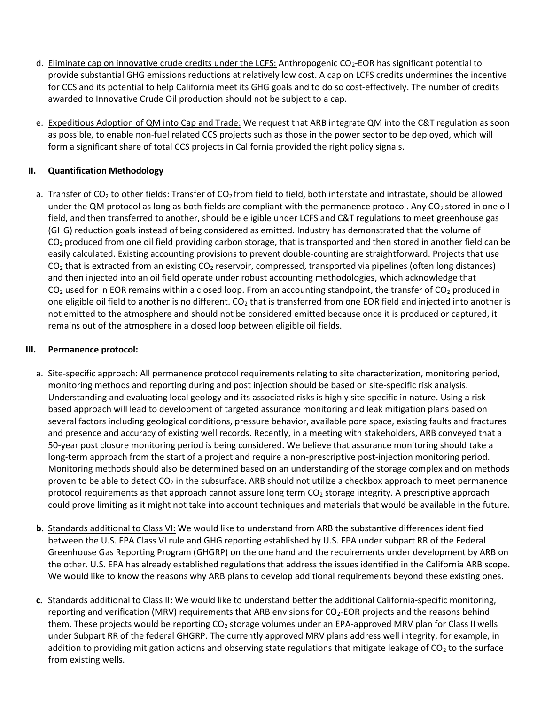- d. Eliminate cap on innovative crude credits under the LCFS: Anthropogenic CO2-EOR has significant potential to provide substantial GHG emissions reductions at relatively low cost. A cap on LCFS credits undermines the incentive for CCS and its potential to help California meet its GHG goals and to do so cost-effectively. The number of credits awarded to Innovative Crude Oil production should not be subject to a cap.
- e. Expeditious Adoption of QM into Cap and Trade: We request that ARB integrate QM into the C&T regulation as soon as possible, to enable non-fuel related CCS projects such as those in the power sector to be deployed, which will form a significant share of total CCS projects in California provided the right policy signals.

# II. Quantification Methodology

a. Transfer of CO<sub>2</sub> to other fields: Transfer of CO<sub>2</sub> from field to field, both interstate and intrastate, should be allowed under the QM protocol as long as both fields are compliant with the permanence protocol. Any  $CO<sub>2</sub>$  stored in one oil field, and then transferred to another, should be eligible under LCFS and C&T regulations to meet greenhouse gas (GHG) reduction goals instead of being considered as emitted. Industry has demonstrated that the volume of  $CO<sub>2</sub>$  produced from one oil field providing carbon storage, that is transported and then stored in another field can be easily calculated. Existing accounting provisions to prevent double-counting are straightforward. Projects that use  $CO<sub>2</sub>$  that is extracted from an existing  $CO<sub>2</sub>$  reservoir, compressed, transported via pipelines (often long distances) and then injected into an oil field operate under robust accounting methodologies, which acknowledge that  $CO<sub>2</sub>$  used for in EOR remains within a closed loop. From an accounting standpoint, the transfer of  $CO<sub>2</sub>$  produced in one eligible oil field to another is no different.  $CO<sub>2</sub>$  that is transferred from one EOR field and injected into another is not emitted to the atmosphere and should not be considered emitted because once it is produced or captured, it remains out of the atmosphere in a closed loop between eligible oil fields.

# III. Permanence protocol:

- a. Site-specific approach: All permanence protocol requirements relating to site characterization, monitoring period, monitoring methods and reporting during and post injection should be based on site-specific risk analysis. Understanding and evaluating local geology and its associated risks is highly site-specific in nature. Using a riskbased approach will lead to development of targeted assurance monitoring and leak mitigation plans based on several factors including geological conditions, pressure behavior, available pore space, existing faults and fractures and presence and accuracy of existing well records. Recently, in a meeting with stakeholders, ARB conveyed that a 50-year post closure monitoring period is being considered. We believe that assurance monitoring should take a long-term approach from the start of a project and require a non-prescriptive post-injection monitoring period. Monitoring methods should also be determined based on an understanding of the storage complex and on methods proven to be able to detect  $CO<sub>2</sub>$  in the subsurface. ARB should not utilize a checkbox approach to meet permanence protocol requirements as that approach cannot assure long term CO<sub>2</sub> storage integrity. A prescriptive approach could prove limiting as it might not take into account techniques and materials that would be available in the future.
- b. Standards additional to Class VI: We would like to understand from ARB the substantive differences identified between the U.S. EPA Class VI rule and GHG reporting established by U.S. EPA under subpart RR of the Federal Greenhouse Gas Reporting Program (GHGRP) on the one hand and the requirements under development by ARB on the other. U.S. EPA has already established regulations that address the issues identified in the California ARB scope. We would like to know the reasons why ARB plans to develop additional requirements beyond these existing ones.
- c. Standards additional to Class II: We would like to understand better the additional California-specific monitoring, reporting and verification (MRV) requirements that ARB envisions for CO<sub>2</sub>-EOR projects and the reasons behind them. These projects would be reporting CO<sub>2</sub> storage volumes under an EPA-approved MRV plan for Class II wells under Subpart RR of the federal GHGRP. The currently approved MRV plans address well integrity, for example, in addition to providing mitigation actions and observing state regulations that mitigate leakage of  $CO<sub>2</sub>$  to the surface from existing wells.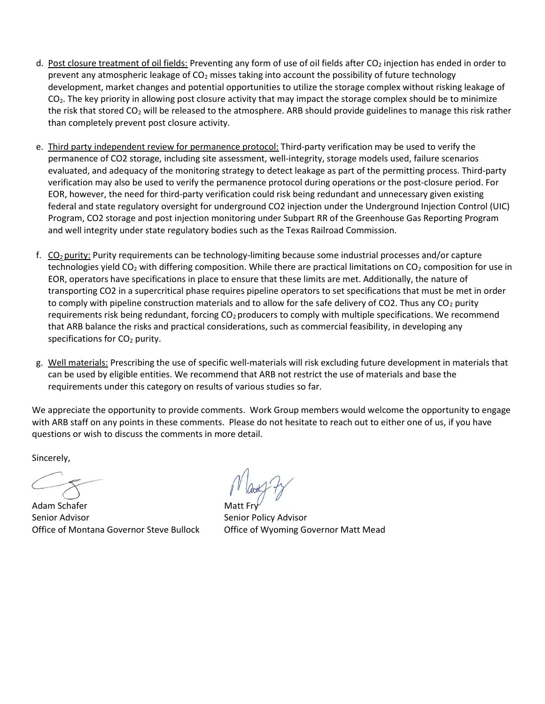- d. Post closure treatment of oil fields: Preventing any form of use of oil fields after CO<sub>2</sub> injection has ended in order to prevent any atmospheric leakage of CO<sub>2</sub> misses taking into account the possibility of future technology development, market changes and potential opportunities to utilize the storage complex without risking leakage of  $CO<sub>2</sub>$ . The key priority in allowing post closure activity that may impact the storage complex should be to minimize the risk that stored CO2 will be released to the atmosphere. ARB should provide guidelines to manage this risk rather than completely prevent post closure activity.
- e. Third party independent review for permanence protocol: Third-party verification may be used to verify the permanence of CO2 storage, including site assessment, well-integrity, storage models used, failure scenarios evaluated, and adequacy of the monitoring strategy to detect leakage as part of the permitting process. Third-party verification may also be used to verify the permanence protocol during operations or the post-closure period. For EOR, however, the need for third-party verification could risk being redundant and unnecessary given existing federal and state regulatory oversight for underground CO2 injection under the Underground Injection Control (UIC) Program, CO2 storage and post injection monitoring under Subpart RR of the Greenhouse Gas Reporting Program and well integrity under state regulatory bodies such as the Texas Railroad Commission.
- f. CO2 purity: Purity requirements can be technology-limiting because some industrial processes and/or capture technologies yield  $CO<sub>2</sub>$  with differing composition. While there are practical limitations on  $CO<sub>2</sub>$  composition for use in EOR, operators have specifications in place to ensure that these limits are met. Additionally, the nature of transporting CO2 in a supercritical phase requires pipeline operators to set specifications that must be met in order to comply with pipeline construction materials and to allow for the safe delivery of CO2. Thus any  $CO<sub>2</sub>$  purity requirements risk being redundant, forcing CO<sub>2</sub> producers to comply with multiple specifications. We recommend that ARB balance the risks and practical considerations, such as commercial feasibility, in developing any specifications for CO<sub>2</sub> purity.
- g. Well materials: Prescribing the use of specific well-materials will risk excluding future development in materials that can be used by eligible entities. We recommend that ARB not restrict the use of materials and base the requirements under this category on results of various studies so far.

We appreciate the opportunity to provide comments. Work Group members would welcome the opportunity to engage with ARB staff on any points in these comments. Please do not hesitate to reach out to either one of us, if you have questions or wish to discuss the comments in more detail.

Sincerely,

Adam Schafer Senior Advisor **Senior Policy Advisor** Senior Policy Advisor Office of Montana Governor Steve Bullock Office of Wyoming Governor Matt Mead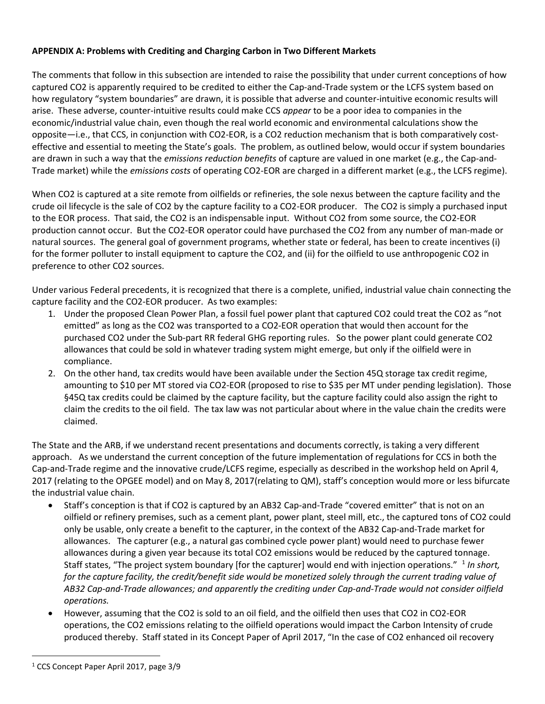# APPENDIX A: Problems with Crediting and Charging Carbon in Two Different Markets

The comments that follow in this subsection are intended to raise the possibility that under current conceptions of how captured CO2 is apparently required to be credited to either the Cap-and-Trade system or the LCFS system based on how regulatory "system boundaries" are drawn, it is possible that adverse and counter-intuitive economic results will arise. These adverse, counter-intuitive results could make CCS appear to be a poor idea to companies in the economic/industrial value chain, even though the real world economic and environmental calculations show the opposite—i.e., that CCS, in conjunction with CO2-EOR, is a CO2 reduction mechanism that is both comparatively costeffective and essential to meeting the State's goals. The problem, as outlined below, would occur if system boundaries are drawn in such a way that the *emissions reduction benefits* of capture are valued in one market (e.g., the Cap-and-Trade market) while the *emissions costs* of operating CO2-EOR are charged in a different market (e.g., the LCFS regime).

When CO2 is captured at a site remote from oilfields or refineries, the sole nexus between the capture facility and the crude oil lifecycle is the sale of CO2 by the capture facility to a CO2-EOR producer. The CO2 is simply a purchased input to the EOR process. That said, the CO2 is an indispensable input. Without CO2 from some source, the CO2-EOR production cannot occur. But the CO2-EOR operator could have purchased the CO2 from any number of man-made or natural sources. The general goal of government programs, whether state or federal, has been to create incentives (i) for the former polluter to install equipment to capture the CO2, and (ii) for the oilfield to use anthropogenic CO2 in preference to other CO2 sources.

Under various Federal precedents, it is recognized that there is a complete, unified, industrial value chain connecting the capture facility and the CO2-EOR producer. As two examples:

- 1. Under the proposed Clean Power Plan, a fossil fuel power plant that captured CO2 could treat the CO2 as "not emitted" as long as the CO2 was transported to a CO2-EOR operation that would then account for the purchased CO2 under the Sub-part RR federal GHG reporting rules. So the power plant could generate CO2 allowances that could be sold in whatever trading system might emerge, but only if the oilfield were in compliance.
- 2. On the other hand, tax credits would have been available under the Section 45Q storage tax credit regime, amounting to \$10 per MT stored via CO2-EOR (proposed to rise to \$35 per MT under pending legislation). Those §45Q tax credits could be claimed by the capture facility, but the capture facility could also assign the right to claim the credits to the oil field. The tax law was not particular about where in the value chain the credits were claimed.

The State and the ARB, if we understand recent presentations and documents correctly, is taking a very different approach. As we understand the current conception of the future implementation of regulations for CCS in both the Cap-and-Trade regime and the innovative crude/LCFS regime, especially as described in the workshop held on April 4, 2017 (relating to the OPGEE model) and on May 8, 2017(relating to QM), staff's conception would more or less bifurcate the industrial value chain.

- Staff's conception is that if CO2 is captured by an AB32 Cap-and-Trade "covered emitter" that is not on an oilfield or refinery premises, such as a cement plant, power plant, steel mill, etc., the captured tons of CO2 could only be usable, only create a benefit to the capturer, in the context of the AB32 Cap-and-Trade market for allowances. The capturer (e.g., a natural gas combined cycle power plant) would need to purchase fewer allowances during a given year because its total CO2 emissions would be reduced by the captured tonnage. Staff states, "The project system boundary [for the capturer] would end with injection operations." <sup>1</sup> In short, for the capture facility, the credit/benefit side would be monetized solely through the current trading value of AB32 Cap-and-Trade allowances; and apparently the crediting under Cap-and-Trade would not consider oilfield operations.
- However, assuming that the CO2 is sold to an oil field, and the oilfield then uses that CO2 in CO2-EOR operations, the CO2 emissions relating to the oilfield operations would impact the Carbon Intensity of crude produced thereby. Staff stated in its Concept Paper of April 2017, "In the case of CO2 enhanced oil recovery

l

<sup>&</sup>lt;sup>1</sup> CCS Concept Paper April 2017, page 3/9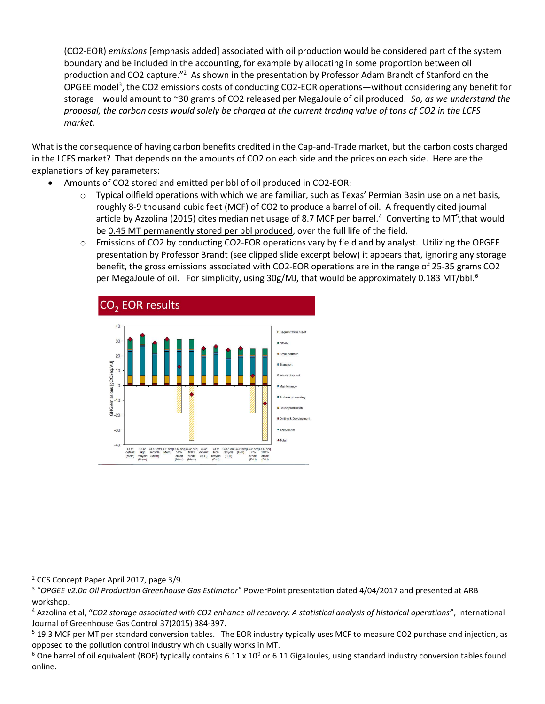(CO2-EOR) emissions [emphasis added] associated with oil production would be considered part of the system boundary and be included in the accounting, for example by allocating in some proportion between oil production and CO2 capture."<sup>2</sup> As shown in the presentation by Professor Adam Brandt of Stanford on the OPGEE model<sup>3</sup>, the CO2 emissions costs of conducting CO2-EOR operations—without considering any benefit for storage—would amount to ~30 grams of CO2 released per MegaJoule of oil produced. So, as we understand the proposal, the carbon costs would solely be charged at the current trading value of tons of CO2 in the LCFS market.

What is the consequence of having carbon benefits credited in the Cap-and-Trade market, but the carbon costs charged in the LCFS market? That depends on the amounts of CO2 on each side and the prices on each side. Here are the explanations of key parameters:

- Amounts of CO2 stored and emitted per bbl of oil produced in CO2-EOR:
	- o Typical oilfield operations with which we are familiar, such as Texas' Permian Basin use on a net basis, roughly 8-9 thousand cubic feet (MCF) of CO2 to produce a barrel of oil. A frequently cited journal article by Azzolina (2015) cites median net usage of 8.7 MCF per barrel.<sup>4</sup> Converting to MT<sup>5</sup>, that would be 0.45 MT permanently stored per bbl produced, over the full life of the field.
	- o Emissions of CO2 by conducting CO2-EOR operations vary by field and by analyst. Utilizing the OPGEE presentation by Professor Brandt (see clipped slide excerpt below) it appears that, ignoring any storage benefit, the gross emissions associated with CO2-EOR operations are in the range of 25-35 grams CO2 per MegaJoule of oil. For simplicity, using  $30g/MJ$ , that would be approximately 0.183 MT/bbl.<sup>6</sup>



l

<sup>&</sup>lt;sup>2</sup> CCS Concept Paper April 2017, page 3/9.

<sup>&</sup>lt;sup>3</sup> "OPGEE v2.0a Oil Production Greenhouse Gas Estimator" PowerPoint presentation dated 4/04/2017 and presented at ARB workshop.

<sup>&</sup>lt;sup>4</sup> Azzolina et al, "CO2 storage associated with CO2 enhance oil recovery: A statistical analysis of historical operations", International Journal of Greenhouse Gas Control 37(2015) 384-397.

<sup>&</sup>lt;sup>5</sup> 19.3 MCF per MT per standard conversion tables. The EOR industry typically uses MCF to measure CO2 purchase and injection, as opposed to the pollution control industry which usually works in MT.

 $^6$  One barrel of oil equivalent (BOE) typically contains 6.11 x 10<sup>9</sup> or 6.11 GigaJoules, using standard industry conversion tables found online.